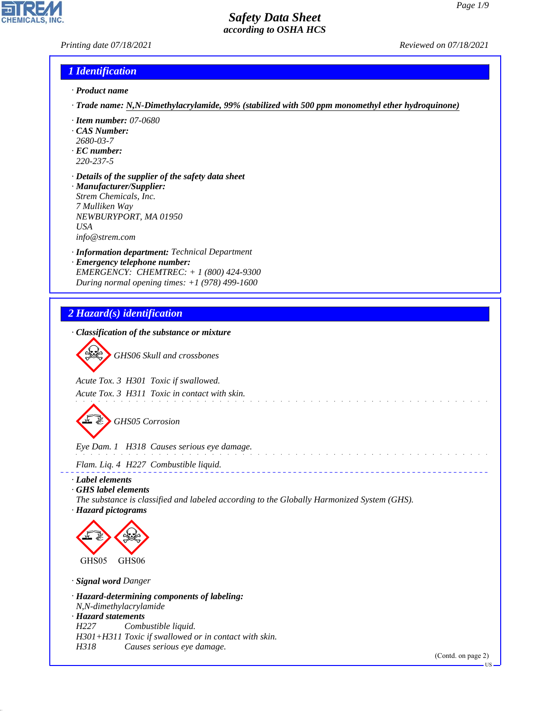### *Printing date 07/18/2021 Reviewed on 07/18/2021*

### *1 Identification*

- *· Product name*
- *· Trade name: N,N-Dimethylacrylamide, 99% (stabilized with 500 ppm monomethyl ether hydroquinone)*
- *· Item number: 07-0680*
- *· CAS Number:*
- *2680-03-7*
- *· EC number: 220-237-5*
- *· Details of the supplier of the safety data sheet · Manufacturer/Supplier: Strem Chemicals, Inc. 7 Mulliken Way*
- *NEWBURYPORT, MA 01950 USA info@strem.com*
- *· Information department: Technical Department*
- *· Emergency telephone number: EMERGENCY: CHEMTREC: + 1 (800) 424-9300 During normal opening times: +1 (978) 499-1600*

## *2 Hazard(s) identification*



*Acute Tox. 3 H301 Toxic if swallowed.*

*Acute Tox. 3 H311 Toxic in contact with skin.*



d~*GHS05 Corrosion*

*Eye Dam. 1 H318 Causes serious eye damage.*

*Flam. Liq. 4 H227 Combustible liquid.*

*· Label elements*

- *· GHS label elements*
- *The substance is classified and labeled according to the Globally Harmonized System (GHS). · Hazard pictograms*

 $\hat{p}$  ,  $\hat{p}$  ,  $\hat{p}$  ,  $\hat{p}$  ,  $\hat{p}$  ,  $\hat{p}$  ,  $\hat{p}$  ,  $\hat{p}$  ,  $\hat{p}$ 



*· Signal word Danger*

44.1.1

*· Hazard-determining components of labeling: N,N-dimethylacrylamide · Hazard statements H227 Combustible liquid.*

*H301+H311 Toxic if swallowed or in contact with skin.*

*H318 Causes serious eye damage.*

(Contd. on page 2)

US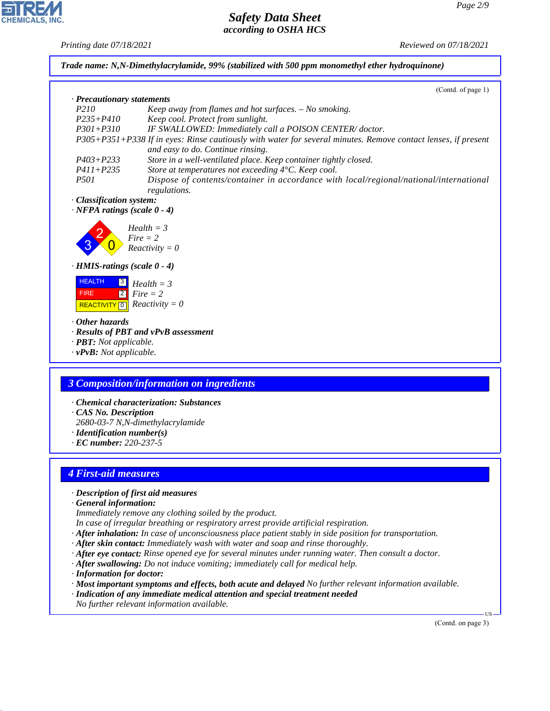*Printing date 07/18/2021 Reviewed on 07/18/2021*

**EDIREAL** 

44.1.1

|                                       | (Contd. of page 1)                                                                                                                                                                       |
|---------------------------------------|------------------------------------------------------------------------------------------------------------------------------------------------------------------------------------------|
| · Precautionary statements            |                                                                                                                                                                                          |
| P210                                  | Keep away from flames and hot surfaces. - No smoking.                                                                                                                                    |
| $P235 + P410$<br>$P301 + P310$        | Keep cool. Protect from sunlight.                                                                                                                                                        |
|                                       | IF SWALLOWED: Immediately call a POISON CENTER/doctor.<br>P305+P351+P338 If in eyes: Rinse cautiously with water for several minutes. Remove contact lenses, if present                  |
|                                       | and easy to do. Continue rinsing.                                                                                                                                                        |
| $P403 + P233$                         | Store in a well-ventilated place. Keep container tightly closed.                                                                                                                         |
| $P411 + P235$                         | Store at temperatures not exceeding 4°C. Keep cool.                                                                                                                                      |
| <i>P501</i>                           | Dispose of contents/container in accordance with local/regional/national/international                                                                                                   |
|                                       | regulations.                                                                                                                                                                             |
| · Classification system:              |                                                                                                                                                                                          |
| $\cdot$ NFPA ratings (scale $0 - 4$ ) |                                                                                                                                                                                          |
|                                       | $Health = 3$                                                                                                                                                                             |
|                                       | $Fire = 2$                                                                                                                                                                               |
|                                       | $Reactivity = 0$                                                                                                                                                                         |
| $\cdot$ HMIS-ratings (scale 0 - 4)    |                                                                                                                                                                                          |
|                                       |                                                                                                                                                                                          |
| <b>HEALTH</b><br>$\mathbf{3}$         | $Health = 3$                                                                                                                                                                             |
| $\boxed{2}$<br><b>FIRE</b>            | $Fire = 2$                                                                                                                                                                               |
| $\boxed{0}$<br><b>REACTIVITY</b>      | $Reactivity = 0$                                                                                                                                                                         |
| Other hazards                         |                                                                                                                                                                                          |
|                                       | · Results of PBT and vPvB assessment                                                                                                                                                     |
|                                       |                                                                                                                                                                                          |
|                                       |                                                                                                                                                                                          |
| · PBT: Not applicable.                |                                                                                                                                                                                          |
| $\cdot$ vPvB: Not applicable.         |                                                                                                                                                                                          |
|                                       |                                                                                                                                                                                          |
|                                       | 3 Composition/information on ingredients                                                                                                                                                 |
|                                       |                                                                                                                                                                                          |
|                                       | · Chemical characterization: Substances                                                                                                                                                  |
| CAS No. Description                   |                                                                                                                                                                                          |
|                                       | 2680-03-7 N,N-dimethylacrylamide                                                                                                                                                         |
| $\cdot$ Identification number(s)      |                                                                                                                                                                                          |
| $\cdot$ EC number: 220-237-5          |                                                                                                                                                                                          |
|                                       |                                                                                                                                                                                          |
| <b>4 First-aid measures</b>           |                                                                                                                                                                                          |
|                                       |                                                                                                                                                                                          |
| · Description of first aid measures   |                                                                                                                                                                                          |
| · General information:                |                                                                                                                                                                                          |
|                                       | Immediately remove any clothing soiled by the product.                                                                                                                                   |
|                                       | In case of irregular breathing or respiratory arrest provide artificial respiration.                                                                                                     |
|                                       | $\cdot$ After inhalation: In case of unconsciousness place patient stably in side position for transportation.                                                                           |
|                                       | · After skin contact: Immediately wash with water and soap and rinse thoroughly.                                                                                                         |
|                                       | $\cdot$ After eye contact: Rinse opened eye for several minutes under running water. Then consult a doctor.                                                                              |
| · Information for doctor:             | $\cdot$ After swallowing: Do not induce vomiting; immediately call for medical help.                                                                                                     |
|                                       |                                                                                                                                                                                          |
|                                       | · Most important symptoms and effects, both acute and delayed No further relevant information available.<br>· Indication of any immediate medical attention and special treatment needed |
|                                       | No further relevant information available.                                                                                                                                               |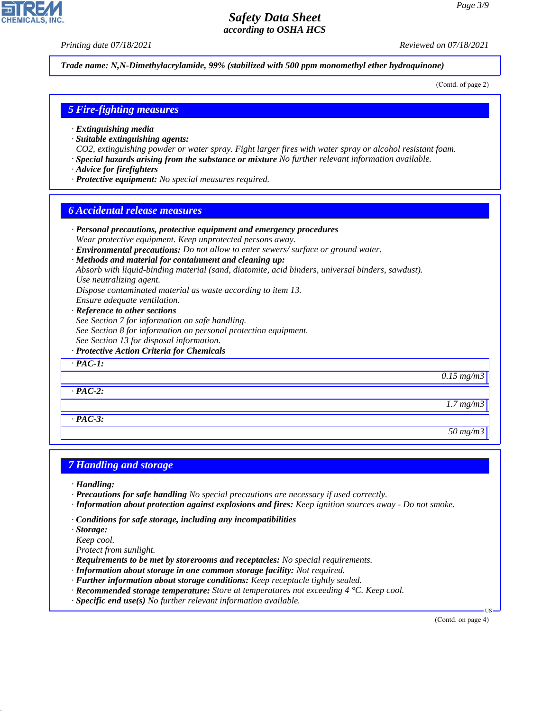*Printing date 07/18/2021 Reviewed on 07/18/2021*

*Trade name: N,N-Dimethylacrylamide, 99% (stabilized with 500 ppm monomethyl ether hydroquinone)*

(Contd. of page 2)

### *5 Fire-fighting measures*

- *· Extinguishing media*
- *· Suitable extinguishing agents:*
- *CO2, extinguishing powder or water spray. Fight larger fires with water spray or alcohol resistant foam.*
- *· Special hazards arising from the substance or mixture No further relevant information available.*
- *· Advice for firefighters*
- *· Protective equipment: No special measures required.*

### *6 Accidental release measures*

*· Personal precautions, protective equipment and emergency procedures Wear protective equipment. Keep unprotected persons away. · Environmental precautions: Do not allow to enter sewers/ surface or ground water. · Methods and material for containment and cleaning up: Absorb with liquid-binding material (sand, diatomite, acid binders, universal binders, sawdust). Use neutralizing agent. Dispose contaminated material as waste according to item 13. Ensure adequate ventilation. · Reference to other sections See Section 7 for information on safe handling. See Section 8 for information on personal protection equipment. See Section 13 for disposal information. · Protective Action Criteria for Chemicals · PAC-1: 0.15 mg/m3 · PAC-2: 1.7 mg/m3 · PAC-3: 50 mg/m3*

### *7 Handling and storage*

*· Handling:*

- *· Precautions for safe handling No special precautions are necessary if used correctly.*
- *· Information about protection against explosions and fires: Keep ignition sources away Do not smoke.*
- *· Conditions for safe storage, including any incompatibilities*

*· Storage:*

44.1.1

*Keep cool.*

*Protect from sunlight.*

- *· Requirements to be met by storerooms and receptacles: No special requirements.*
- *· Information about storage in one common storage facility: Not required.*
- *· Further information about storage conditions: Keep receptacle tightly sealed.*
- *· Recommended storage temperature: Store at temperatures not exceeding 4 °C. Keep cool.*
- *· Specific end use(s) No further relevant information available.*

(Contd. on page 4)

US

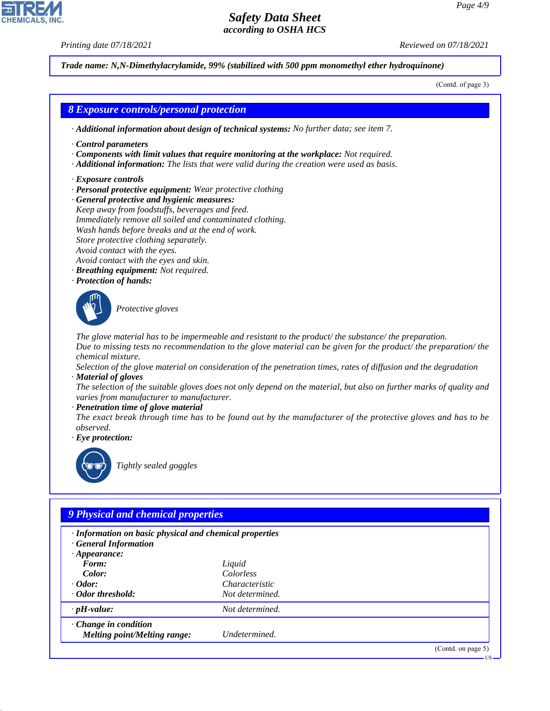*Printing date 07/18/2021 Reviewed on 07/18/2021*

44.1.1

*Trade name: N,N-Dimethylacrylamide, 99% (stabilized with 500 ppm monomethyl ether hydroquinone)*

(Contd. of page 3)

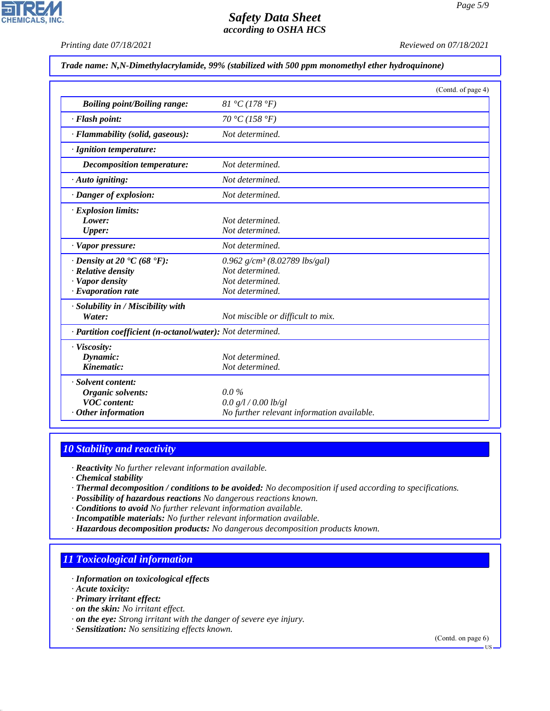*Printing date 07/18/2021 Reviewed on 07/18/2021*

*Trade name: N,N-Dimethylacrylamide, 99% (stabilized with 500 ppm monomethyl ether hydroquinone)*

|                                                            |                                            | (Contd. of page 4) |
|------------------------------------------------------------|--------------------------------------------|--------------------|
| <b>Boiling point/Boiling range:</b>                        | 81 °C (178 °F)                             |                    |
| · Flash point:                                             | 70 °C (158 °F)                             |                    |
| · Flammability (solid, gaseous):                           | Not determined.                            |                    |
| · Ignition temperature:                                    |                                            |                    |
| <b>Decomposition temperature:</b>                          | Not determined.                            |                    |
| $\cdot$ Auto igniting:                                     | Not determined.                            |                    |
| · Danger of explosion:                                     | Not determined.                            |                    |
| · Explosion limits:                                        |                                            |                    |
| Lower:                                                     | Not determined.                            |                    |
| Upper:                                                     | Not determined.                            |                    |
| · Vapor pressure:                                          | Not determined.                            |                    |
| $\cdot$ Density at 20 $\cdot$ C (68 $\cdot$ F):            | 0.962 $g/cm^3$ (8.02789 lbs/gal)           |                    |
| · Relative density                                         | Not determined.                            |                    |
| · Vapor density                                            | Not determined.                            |                    |
| $\cdot$ Evaporation rate                                   | Not determined.                            |                    |
| · Solubility in / Miscibility with                         |                                            |                    |
| Water:                                                     | Not miscible or difficult to mix.          |                    |
| · Partition coefficient (n-octanol/water): Not determined. |                                            |                    |
| · Viscosity:                                               |                                            |                    |
| Dynamic:                                                   | Not determined.                            |                    |
| Kinematic:                                                 | Not determined.                            |                    |
| · Solvent content:                                         |                                            |                    |
| Organic solvents:                                          | $0.0\%$                                    |                    |
| <b>VOC</b> content:                                        | 0.0 g/l / 0.00 lb/gl                       |                    |
| $·$ Other information                                      | No further relevant information available. |                    |

### *10 Stability and reactivity*

*· Reactivity No further relevant information available.*

- *· Chemical stability*
- *· Thermal decomposition / conditions to be avoided: No decomposition if used according to specifications.*
- *· Possibility of hazardous reactions No dangerous reactions known.*
- *· Conditions to avoid No further relevant information available.*
- *· Incompatible materials: No further relevant information available.*
- *· Hazardous decomposition products: No dangerous decomposition products known.*

## *11 Toxicological information*

- *· Information on toxicological effects*
- *· Acute toxicity:*

44.1.1

- *· Primary irritant effect:*
- *· on the skin: No irritant effect.*
- *· on the eye: Strong irritant with the danger of severe eye injury.*
- *· Sensitization: No sensitizing effects known.*

(Contd. on page 6)

US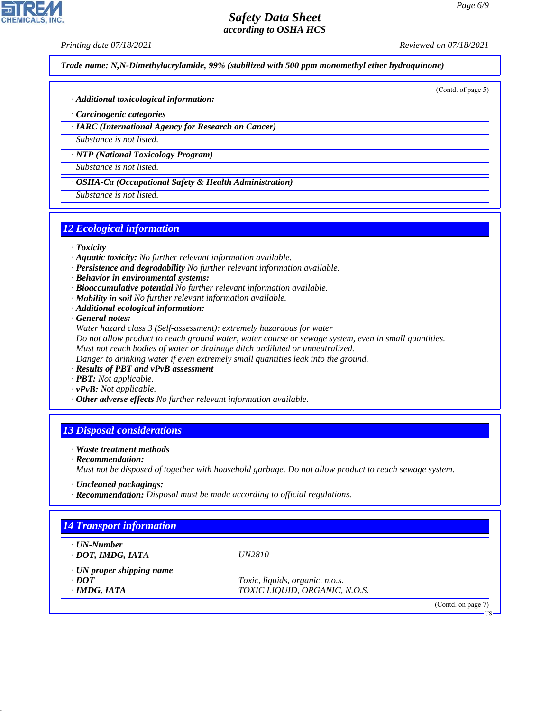*Printing date 07/18/2021 Reviewed on 07/18/2021*

**CHEMICALS, INC** 

*Trade name: N,N-Dimethylacrylamide, 99% (stabilized with 500 ppm monomethyl ether hydroquinone)*

(Contd. of page 5)

- *· Additional toxicological information:*
- *· Carcinogenic categories*
- *· IARC (International Agency for Research on Cancer)*
- *Substance is not listed.*

*· NTP (National Toxicology Program)*

*Substance is not listed.*

*· OSHA-Ca (Occupational Safety & Health Administration)*

*Substance is not listed.*

### *12 Ecological information*

- *· Toxicity*
- *· Aquatic toxicity: No further relevant information available.*
- *· Persistence and degradability No further relevant information available.*
- *· Behavior in environmental systems:*
- *· Bioaccumulative potential No further relevant information available.*
- *· Mobility in soil No further relevant information available.*
- *· Additional ecological information:*

*· General notes:*

*Water hazard class 3 (Self-assessment): extremely hazardous for water*

*Do not allow product to reach ground water, water course or sewage system, even in small quantities.*

*Must not reach bodies of water or drainage ditch undiluted or unneutralized.*

*Danger to drinking water if even extremely small quantities leak into the ground.*

- *· Results of PBT and vPvB assessment*
- *· PBT: Not applicable.*
- *· vPvB: Not applicable.*
- *· Other adverse effects No further relevant information available.*

### *13 Disposal considerations*

- *· Waste treatment methods*
- *· Recommendation:*

44.1.1

*Must not be disposed of together with household garbage. Do not allow product to reach sewage system.*

- *· Uncleaned packagings:*
- *· Recommendation: Disposal must be made according to official regulations.*

| $\cdot$ UN-Number               |                                 |  |
|---------------------------------|---------------------------------|--|
| · DOT, IMDG, IATA               | <i>UN2810</i>                   |  |
| $\cdot$ UN proper shipping name |                                 |  |
| $\cdot$ DOT                     | Toxic, liquids, organic, n.o.s. |  |
| $\cdot$ IMDG, IATA              | TOXIC LIQUID, ORGANIC, N.O.S.   |  |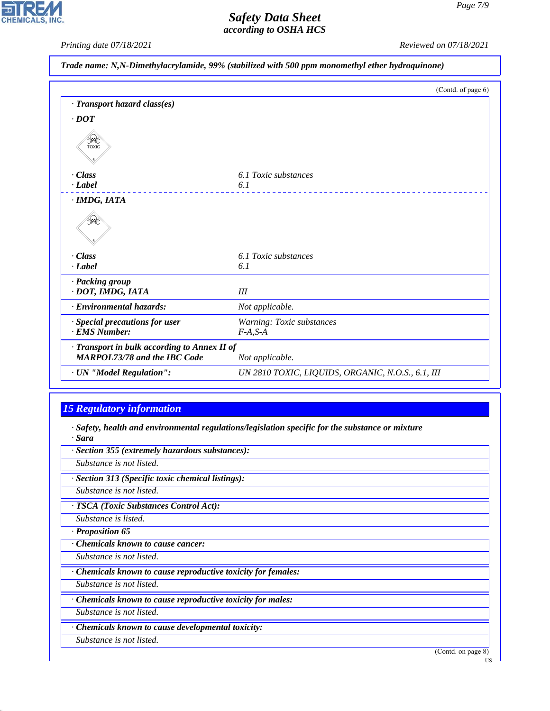*Printing date 07/18/2021 Reviewed on 07/18/2021*

|  | Trade name: N,N-Dimethylacrylamide, 99% (stabilized with 500 ppm monomethyl ether hydroquinone) |
|--|-------------------------------------------------------------------------------------------------|
|--|-------------------------------------------------------------------------------------------------|

|                                                                                     | (Contd. of page 6)                                |
|-------------------------------------------------------------------------------------|---------------------------------------------------|
| · Transport hazard class(es)                                                        |                                                   |
| $\cdot$ DOT                                                                         |                                                   |
| SEEP                                                                                |                                                   |
| - Class                                                                             | 6.1 Toxic substances                              |
| $\cdot$ <i>Label</i>                                                                | 6.1                                               |
| · IMDG, IATA                                                                        |                                                   |
|                                                                                     |                                                   |
| · Class                                                                             | 6.1 Toxic substances                              |
| · Label                                                                             | 6.1                                               |
| · Packing group<br>· DOT, IMDG, IATA                                                | Ш                                                 |
| · Environmental hazards:                                                            | Not applicable.                                   |
| · Special precautions for user                                                      | Warning: Toxic substances                         |
| · EMS Number:                                                                       | $F-A, S-A$                                        |
| · Transport in bulk according to Annex II of<br><b>MARPOL73/78 and the IBC Code</b> | Not applicable.                                   |
| · UN "Model Regulation":                                                            | UN 2810 TOXIC, LIQUIDS, ORGANIC, N.O.S., 6.1, III |

# *15 Regulatory information*

*· Safety, health and environmental regulations/legislation specific for the substance or mixture · Sara*

| · Section 355 (extremely hazardous substances):               |                    |
|---------------------------------------------------------------|--------------------|
| Substance is not listed.                                      |                    |
| · Section 313 (Specific toxic chemical listings):             |                    |
| Substance is not listed.                                      |                    |
| · TSCA (Toxic Substances Control Act):                        |                    |
| Substance is listed.                                          |                    |
| · Proposition 65                                              |                    |
| <b>Chemicals known to cause cancer:</b>                       |                    |
| Substance is not listed.                                      |                    |
| · Chemicals known to cause reproductive toxicity for females: |                    |
| Substance is not listed.                                      |                    |
| · Chemicals known to cause reproductive toxicity for males:   |                    |
| Substance is not listed.                                      |                    |
| Chemicals known to cause developmental toxicity:              |                    |
| Substance is not listed.                                      |                    |
|                                                               | (Contd. on page 8) |



44.1.1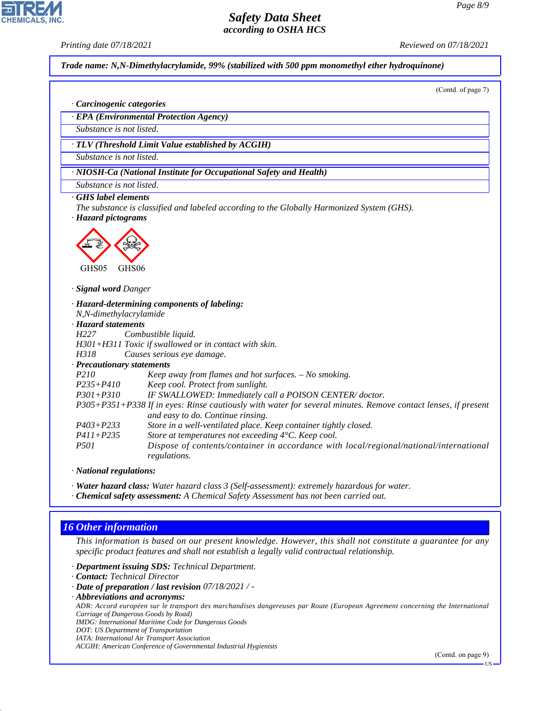*Printing date 07/18/2021 Reviewed on 07/18/2021*

*Trade name: N,N-Dimethylacrylamide, 99% (stabilized with 500 ppm monomethyl ether hydroquinone)*

(Contd. of page 7)

*· Carcinogenic categories*

*· EPA (Environmental Protection Agency)*

*Substance is not listed.*

*· TLV (Threshold Limit Value established by ACGIH)*

*Substance is not listed.*

*· NIOSH-Ca (National Institute for Occupational Safety and Health)*

*Substance is not listed.*

*· GHS label elements*

*The substance is classified and labeled according to the Globally Harmonized System (GHS).*

*· Hazard pictograms*



*· Signal word Danger*

*· Hazard-determining components of labeling: N,N-dimethylacrylamide · Hazard statements H227 Combustible liquid. H301+H311 Toxic if swallowed or in contact with skin. H318 Causes serious eye damage. · Precautionary statements P210 Keep away from flames and hot surfaces. – No smoking. P235+P410 Keep cool. Protect from sunlight. P301+P310 IF SWALLOWED: Immediately call a POISON CENTER/ doctor. P305+P351+P338 If in eyes: Rinse cautiously with water for several minutes. Remove contact lenses, if present and easy to do. Continue rinsing. P403+P233 Store in a well-ventilated place. Keep container tightly closed. P411+P235 Store at temperatures not exceeding 4°C. Keep cool. P501 Dispose of contents/container in accordance with local/regional/national/international regulations.*

*· National regulations:*

*· Water hazard class: Water hazard class 3 (Self-assessment): extremely hazardous for water.*

*· Chemical safety assessment: A Chemical Safety Assessment has not been carried out.*

## *16 Other information*

44.1.1

*This information is based on our present knowledge. However, this shall not constitute a guarantee for any specific product features and shall not establish a legally valid contractual relationship.*

*· Department issuing SDS: Technical Department.*

*· Contact: Technical Director*

- *· Date of preparation / last revision 07/18/2021 / -*
- *· Abbreviations and acronyms:*

*ADR: Accord européen sur le transport des marchandises dangereuses par Route (European Agreement concerning the International Carriage of Dangerous Goods by Road)*

*IMDG: International Maritime Code for Dangerous Goods*

*DOT: US Department of Transportation*

*IATA: International Air Transport Association*

*ACGIH: American Conference of Governmental Industrial Hygienists*

(Contd. on page 9)

US